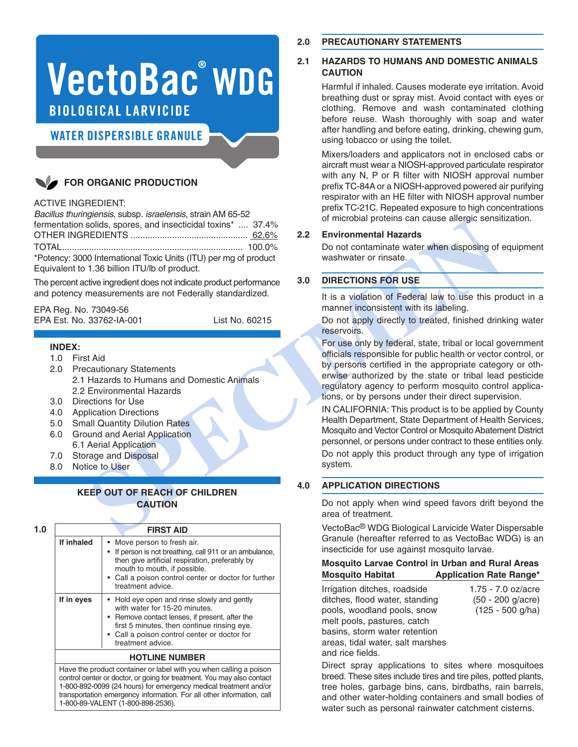# **VectoBac® WDG BIOLOGICAL LARVICIDE**

**WATER DISPERSIBLE GRANULE** 

# **FOR ORGANIC PRODUCTION**

#### ACTIVE INGREDIENT:

*Bacillus thuringiensis*, subsp. *israelensis,* strain AM 65-52 fermentation solids, spores, and insecticidal toxins\* .... 37.4% OTHER INGREDIENTS ................................................ 62.6% TOTAL.......................................................................... 100.0% \*Potency: 3000 International Toxic Units (ITU) per mg of product Equivalent to 1.36 billion ITU/lb of product.

The percent active ingredient does not indicate product performance and potency measurements are not Federally standardized.

EPA Reg. No. 73049-56 EPA Est. No. 33762-IA-001 List No. 60215

#### **INDEX:**

- 1.0 First Aid
- 2.0 Precautionary Statements
- 2.1 Hazards to Humans and Domestic Animals 2.2 Environmental Hazards
- 3.0 Directions for Use
- 4.0 Application Directions
- 5.0 Small Quantity Dilution Rates
- 6.0 Ground and Aerial Application 6.1 Aerial Application
- 7.0 Storage and Disposal
- 8.0 Notice to User

## **KEEP OUT OF REACH OF CHILDREN CAUTION**

| 1.0 | <b>FIRST AID</b> |                                                                                                                                                                                                                                                      |  |  |  |  |
|-----|------------------|------------------------------------------------------------------------------------------------------------------------------------------------------------------------------------------------------------------------------------------------------|--|--|--|--|
|     | If inhaled       | • Move person to fresh air.<br>If person is not breathing, call 911 or an ambulance,<br>then give artificial respiration, preferably by<br>mouth to mouth, if possible.<br>• Call a poison control center or doctor for further<br>treatment advice. |  |  |  |  |
|     | If in eyes       | • Hold eye open and rinse slowly and gently<br>with water for 15-20 minutes.<br>• Remove contact lenses, if present, after the<br>first 5 minutes, then continue rinsing eye.<br>• Call a poison control center or doctor for<br>treatment advice.   |  |  |  |  |
|     |                  | <b>HOTLINE NUMBER</b>                                                                                                                                                                                                                                |  |  |  |  |
|     |                  | Have the product container or label with you when calling a poison<br>control center or doctor, or going for treatment. You may also contact<br>1-800-892-0099 (24 hours) for emergency medical treatment and/or                                     |  |  |  |  |

transportation emergency information. For all other information, call

1-800-89-VALENT (1-800-898-2536).

#### **2.0 PRECAUTIONARY STATEMENTS**

#### **2.1 HAZARDS TO HUMANS AND DOMESTIC ANIMALS CAUTION**

Harmful if inhaled. Causes moderate eye irritation. Avoid breathing dust or spray mist. Avoid contact with eyes or clothing. Remove and wash contaminated clothing before reuse. Wash thoroughly with soap and water after handling and before eating, drinking, chewing gum, using tobacco or using the toilet.

Mixers/loaders and applicators not in enclosed cabs or aircraft must wear a NIOSH-approved particulate respirator with any N, P or R filter with NIOSH approval number prefix TC-84Aor a NIOSH-approved powered air purifying respirator with an HE filter with NIOSH approval number prefix TC-21C. Repeated exposure to high concentrations of microbial proteins can cause allergic sensitization.

#### **2.2 Environmental Hazards**

Do not contaminate water when disposing of equipment washwater or rinsate.

#### **3.0 DIRECTIONS FOR USE**

It is a violation of Federal law to use this product in a manner inconsistent with its labeling.

Do not apply directly to treated, finished drinking water reservoirs.

For use only by federal, state, tribal or local government officials responsible for public health or vector control, or by persons certified in the appropriate category or otherwise authorized by the state or tribal lead pesticide regulatory agency to perform mosquito control applications, or by persons under their direct supervision.

**SPECIMEN** IN CALIFORNIA: This product is to be applied by County Health Department, State Department of Health Services, Mosquito and Vector Control or Mosquito Abatement District personnel, or persons under contract to these entities only. Do not apply this product through any type of irrigation system.

#### **4.0 APPLICATION DIRECTIONS**

Do not apply when wind speed favors drift beyond the area of treatment.

VectoBac® WDG Biological Larvicide Water Dispersable Granule (hereafter referred to as VectoBac WDG) is an insecticide for use against mosquito larvae.

#### **Mosquito Larvae Control in Urban and Rural Areas Mosquito Habitat Application Rate Range\***

Irrigation ditches, roadside 1.75 - 7.0 oz/acre ditches, flood water, standing (50 - 200 g/acre) pools, woodland pools, snow (125 - 500 g/ha) melt pools, pastures, catch basins, storm water retention areas, tidal water, salt marshes and rice fields.

Direct spray applications to sites where mosquitoes breed. These sites include tires and tire piles, potted plants, tree holes, garbage bins, cans, birdbaths, rain barrels, and other water-holding containers and small bodies of water such as personal rainwater catchment cisterns.